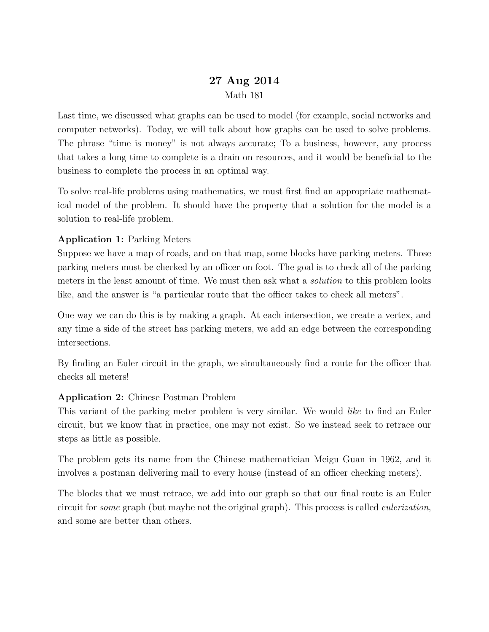## 27 Aug 2014 Math 181

Last time, we discussed what graphs can be used to model (for example, social networks and computer networks). Today, we will talk about how graphs can be used to solve problems. The phrase "time is money" is not always accurate; To a business, however, any process that takes a long time to complete is a drain on resources, and it would be beneficial to the business to complete the process in an optimal way.

To solve real-life problems using mathematics, we must first find an appropriate mathematical model of the problem. It should have the property that a solution for the model is a solution to real-life problem.

## Application 1: Parking Meters

Suppose we have a map of roads, and on that map, some blocks have parking meters. Those parking meters must be checked by an officer on foot. The goal is to check all of the parking meters in the least amount of time. We must then ask what a *solution* to this problem looks like, and the answer is "a particular route that the officer takes to check all meters".

One way we can do this is by making a graph. At each intersection, we create a vertex, and any time a side of the street has parking meters, we add an edge between the corresponding intersections.

By finding an Euler circuit in the graph, we simultaneously find a route for the officer that checks all meters!

## Application 2: Chinese Postman Problem

This variant of the parking meter problem is very similar. We would like to find an Euler circuit, but we know that in practice, one may not exist. So we instead seek to retrace our steps as little as possible.

The problem gets its name from the Chinese mathematician Meigu Guan in 1962, and it involves a postman delivering mail to every house (instead of an officer checking meters).

The blocks that we must retrace, we add into our graph so that our final route is an Euler circuit for *some* graph (but maybe not the original graph). This process is called *eulerization*, and some are better than others.